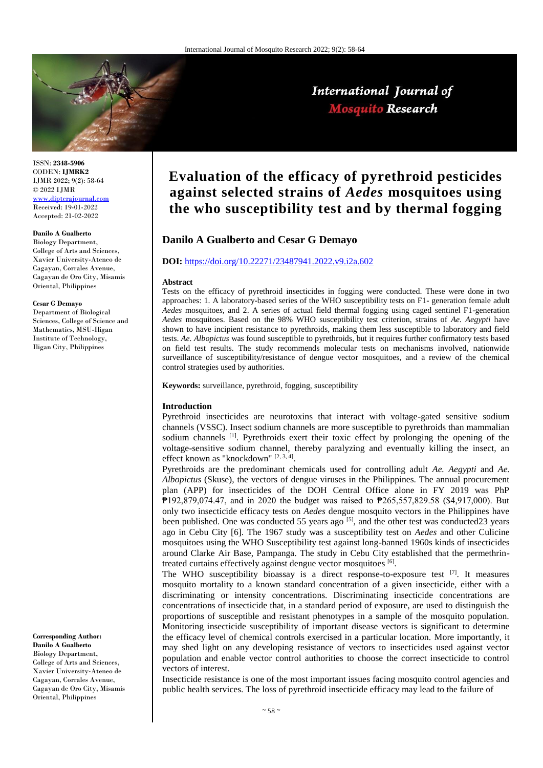

ISSN: **2348-5906** CODEN: **IJMRK2** IJMR 2022; 9(2): 58-64 © 2022 IJMR [www.dipterajournal.com](file://server/d/Mosquito/Issue/8%20Volume/www.dipterajournal.com) Received: 19-01-2022 Accepted: 21-02-2022

# **Danilo A Gualberto**

Biology Department, College of Arts and Sciences, Xavier University-Ateneo de Cagayan, Corrales Avenue, Cagayan de Oro City, Misamis Oriental, Philippines

#### **Cesar G Demayo**

Department of Biological Sciences, College of Science and Mathematics, MSU-Iligan Institute of Technology, Iligan City, Philippines

#### **Corresponding Author: Danilo A Gualberto**

Biology Department, College of Arts and Sciences, Xavier University-Ateneo de Cagayan, Corrales Avenue, Cagayan de Oro City, Misamis Oriental, Philippines

# **Evaluation of the efficacy of pyrethroid pesticides against selected strains of** *Aedes* **mosquitoes using the who susceptibility test and by thermal fogging**

# **Danilo A Gualberto and Cesar G Demayo**

## **DOI:** <https://doi.org/10.22271/23487941.2022.v9.i2a.602>

#### **Abstract**

Tests on the efficacy of pyrethroid insecticides in fogging were conducted. These were done in two approaches: 1. A laboratory-based series of the WHO susceptibility tests on F1- generation female adult *Aedes* mosquitoe*s*, and 2. A series of actual field thermal fogging using caged sentinel F1-generation *Aedes* mosquitoes. Based on the 98% WHO susceptibility test criterion, strains of *Ae. Aegypti* have shown to have incipient resistance to pyrethroids, making them less susceptible to laboratory and field tests. *Ae. Albopictus* was found susceptible to pyrethroids, but it requires further confirmatory tests based on field test results. The study recommends molecular tests on mechanisms involved, nationwide surveillance of susceptibility/resistance of dengue vector mosquitoes, and a review of the chemical control strategies used by authorities.

**Keywords:** surveillance, pyrethroid, fogging, susceptibility

#### **Introduction**

Pyrethroid insecticides are neurotoxins that interact with voltage-gated sensitive sodium channels (VSSC). Insect sodium channels are more susceptible to pyrethroids than mammalian sodium channels <sup>[1]</sup>. Pyrethroids exert their toxic effect by prolonging the opening of the voltage-sensitive sodium channel, thereby paralyzing and eventually killing the insect, an effect known as "knockdown" [2, 3, 4].

Pyrethroids are the predominant chemicals used for controlling adult *Ae. Aegypti* and *Ae. Albopictus* (Skuse), the vectors of dengue viruses in the Philippines. The annual procurement plan (APP) for insecticides of the DOH Central Office alone in FY 2019 was PhP ₱192,879,074.47, and in 2020 the budget was raised to ₱265,557,829.58 (\$4,917,000). But only two insecticide efficacy tests on *Aedes* dengue mosquito vectors in the Philippines have been published. One was conducted 55 years ago  $[5]$ , and the other test was conducted23 years ago in Cebu City [6]. The 1967 study was a susceptibility test on *Aedes* and other Culicine mosquitoes using the WHO Susceptibility test against long-banned 1960s kinds of insecticides around Clarke Air Base, Pampanga. The study in Cebu City established that the permethrintreated curtains effectively against dengue vector mosquitoes [6].

The WHO susceptibility bioassay is a direct response-to-exposure test  $[7]$ . It measures mosquito mortality to a known standard concentration of a given insecticide, either with a discriminating or intensity concentrations. Discriminating insecticide concentrations are concentrations of insecticide that, in a standard period of exposure, are used to distinguish the proportions of susceptible and resistant phenotypes in a sample of the mosquito population. Monitoring insecticide susceptibility of important disease vectors is significant to determine the efficacy level of chemical controls exercised in a particular location. More importantly, it may shed light on any developing resistance of vectors to insecticides used against vector population and enable vector control authorities to choose the correct insecticide to control vectors of interest.

Insecticide resistance is one of the most important issues facing mosquito control agencies and public health services. The loss of pyrethroid insecticide efficacy may lead to the failure of

# International Journal of **Mosquito Research**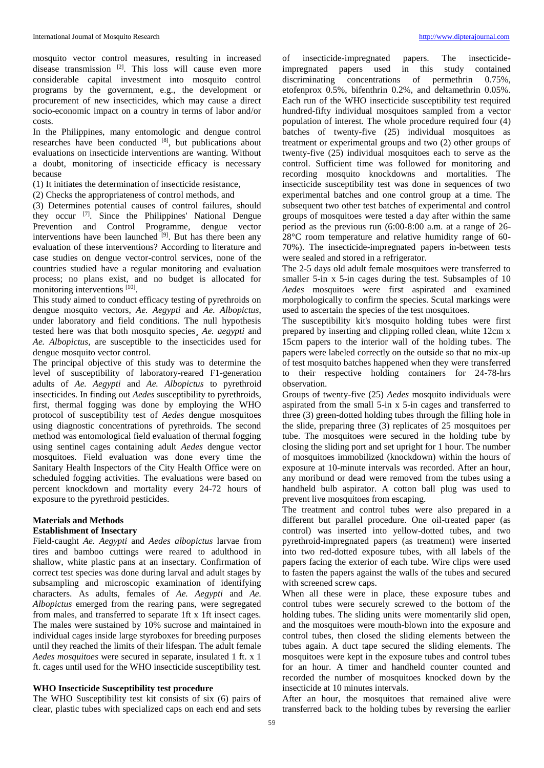mosquito vector control measures, resulting in increased disease transmission [2]. This loss will cause even more considerable capital investment into mosquito control programs by the government, e.g., the development or procurement of new insecticides, which may cause a direct socio-economic impact on a country in terms of labor and/or costs.

In the Philippines, many entomologic and dengue control researches have been conducted [8], but publications about evaluations on insecticide interventions are wanting. Without a doubt, monitoring of insecticide efficacy is necessary because

(1) It initiates the determination of insecticide resistance,

(2) Checks the appropriateness of control methods, and

(3) Determines potential causes of control failures, should they occur <sup>[7]</sup>. Since the Philippines' National Dengue Prevention and Control Programme, dengue vector interventions have been launched [9]. But has there been any evaluation of these interventions? According to literature and case studies on dengue vector-control services, none of the countries studied have a regular monitoring and evaluation process; no plans exist, and no budget is allocated for monitoring interventions [10].

This study aimed to conduct efficacy testing of pyrethroids on dengue mosquito vectors, *Ae. Aegypti* and *Ae. Albopictus*, under laboratory and field conditions. The null hypothesis tested here was that both mosquito species¸ *Ae. aegypti* and *Ae. Albopictus,* are susceptible to the insecticides used for dengue mosquito vector control.

The principal objective of this study was to determine the level of susceptibility of laboratory-reared F1-generation adults of *Ae. Aegypti* and *Ae. Albopictus* to pyrethroid insecticides. In finding out *Aedes* susceptibility to pyrethroids, first, thermal fogging was done by employing the WHO protocol of susceptibility test of *Aedes* dengue mosquitoes using diagnostic concentrations of pyrethroids. The second method was entomological field evaluation of thermal fogging using sentinel cages containing adult *Aedes* dengue vector mosquitoes. Field evaluation was done every time the Sanitary Health Inspectors of the City Health Office were on scheduled fogging activities. The evaluations were based on percent knockdown and mortality every 24-72 hours of exposure to the pyrethroid pesticides.

## **Materials and Methods**

### **Establishment of Insectary**

Field-caught *Ae. Aegypti* and *Aedes albopictus* larvae from tires and bamboo cuttings were reared to adulthood in shallow, white plastic pans at an insectary. Confirmation of correct test species was done during larval and adult stages by subsampling and microscopic examination of identifying characters. As adults, females of *Ae. Aegypti* and *Ae. Albopictus* emerged from the rearing pans, were segregated from males, and transferred to separate 1ft x 1ft insect cages. The males were sustained by 10% sucrose and maintained in individual cages inside large styroboxes for breeding purposes until they reached the limits of their lifespan. The adult female *Aedes mosquitoes* were secured in separate, insulated 1 ft. x 1 ft. cages until used for the WHO insecticide susceptibility test.

# **WHO Insecticide Susceptibility test procedure**

The WHO Susceptibility test kit consists of six (6) pairs of clear, plastic tubes with specialized caps on each end and sets

of insecticide-impregnated papers. The insecticideimpregnated papers used in this study contained discriminating concentrations of permethrin 0.75%, etofenprox 0.5%, bifenthrin 0.2%, and deltamethrin 0.05%. Each run of the WHO insecticide susceptibility test required hundred-fifty individual mosquitoes sampled from a vector population of interest. The whole procedure required four (4) batches of twenty-five (25) individual mosquitoes as treatment or experimental groups and two (2) other groups of twenty-five (25) individual mosquitoes each to serve as the control. Sufficient time was followed for monitoring and recording mosquito knockdowns and mortalities. The insecticide susceptibility test was done in sequences of two experimental batches and one control group at a time. The subsequent two other test batches of experimental and control groups of mosquitoes were tested a day after within the same period as the previous run (6:00-8:00 a.m. at a range of 26- 28°C room temperature and relative humidity range of 60- 70%). The insecticide-impregnated papers in-between tests were sealed and stored in a refrigerator.

The 2-5 days old adult female mosquitoes were transferred to smaller 5-in x 5-in cages during the test. Subsamples of 10 *Aedes* mosquitoes were first aspirated and examined morphologically to confirm the species. Scutal markings were used to ascertain the species of the test mosquitoes.

The susceptibility kit's mosquito holding tubes were first prepared by inserting and clipping rolled clean, white 12cm x 15cm papers to the interior wall of the holding tubes. The papers were labeled correctly on the outside so that no mix-up of test mosquito batches happened when they were transferred to their respective holding containers for 24-78-hrs observation.

Groups of twenty-five (25) *Aedes* mosquito individuals were aspirated from the small 5-in x 5-in cages and transferred to three (3) green-dotted holding tubes through the filling hole in the slide, preparing three (3) replicates of 25 mosquitoes per tube. The mosquitoes were secured in the holding tube by closing the sliding port and set upright for 1 hour. The number of mosquitoes immobilized (knockdown) within the hours of exposure at 10-minute intervals was recorded. After an hour, any moribund or dead were removed from the tubes using a handheld bulb aspirator. A cotton ball plug was used to prevent live mosquitoes from escaping.

The treatment and control tubes were also prepared in a different but parallel procedure. One oil-treated paper (as control) was inserted into yellow-dotted tubes, and two pyrethroid-impregnated papers (as treatment) were inserted into two red-dotted exposure tubes, with all labels of the papers facing the exterior of each tube. Wire clips were used to fasten the papers against the walls of the tubes and secured with screened screw caps.

When all these were in place, these exposure tubes and control tubes were securely screwed to the bottom of the holding tubes. The sliding units were momentarily slid open, and the mosquitoes were mouth-blown into the exposure and control tubes, then closed the sliding elements between the tubes again. A duct tape secured the sliding elements. The mosquitoes were kept in the exposure tubes and control tubes for an hour. A timer and handheld counter counted and recorded the number of mosquitoes knocked down by the insecticide at 10 minutes intervals.

After an hour, the mosquitoes that remained alive were transferred back to the holding tubes by reversing the earlier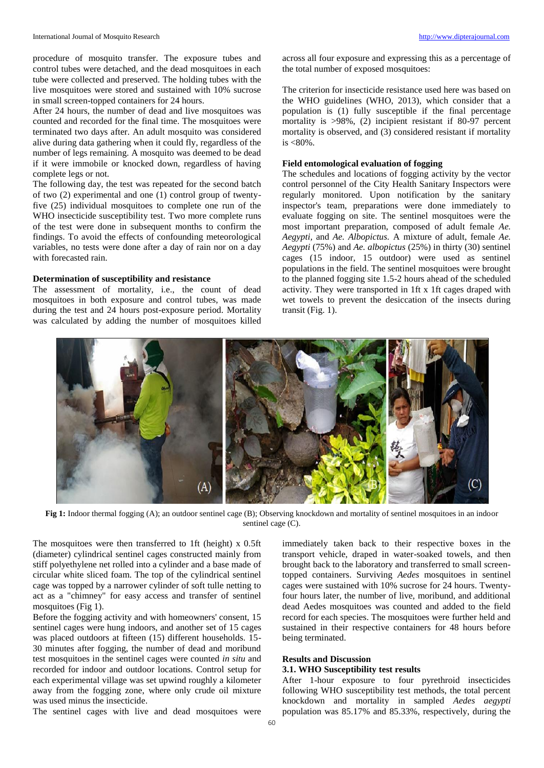procedure of mosquito transfer. The exposure tubes and control tubes were detached, and the dead mosquitoes in each tube were collected and preserved. The holding tubes with the live mosquitoes were stored and sustained with 10% sucrose in small screen-topped containers for 24 hours.

After 24 hours, the number of dead and live mosquitoes was counted and recorded for the final time. The mosquitoes were terminated two days after. An adult mosquito was considered alive during data gathering when it could fly, regardless of the number of legs remaining. A mosquito was deemed to be dead if it were immobile or knocked down, regardless of having complete legs or not.

The following day, the test was repeated for the second batch of two (2) experimental and one (1) control group of twentyfive (25) individual mosquitoes to complete one run of the WHO insecticide susceptibility test. Two more complete runs of the test were done in subsequent months to confirm the findings. To avoid the effects of confounding meteorological variables, no tests were done after a day of rain nor on a day with forecasted rain.

### **Determination of susceptibility and resistance**

The assessment of mortality, i.e., the count of dead mosquitoes in both exposure and control tubes, was made during the test and 24 hours post-exposure period. Mortality was calculated by adding the number of mosquitoes killed across all four exposure and expressing this as a percentage of the total number of exposed mosquitoes:

The criterion for insecticide resistance used here was based on the WHO guidelines (WHO, 2013), which consider that a population is (1) fully susceptible if the final percentage mortality is >98%, (2) incipient resistant if 80-97 percent mortality is observed, and (3) considered resistant if mortality is <80%.

# **Field entomological evaluation of fogging**

The schedules and locations of fogging activity by the vector control personnel of the City Health Sanitary Inspectors were regularly monitored. Upon notification by the sanitary inspector's team, preparations were done immediately to evaluate fogging on site. The sentinel mosquitoes were the most important preparation, composed of adult female *Ae. Aegypti,* and *Ae. Albopictus.* A mixture of adult, female *Ae. Aegypti* (75%) and *Ae. albopictus* (25%) in thirty (30) sentinel cages (15 indoor, 15 outdoor) were used as sentinel populations in the field. The sentinel mosquitoes were brought to the planned fogging site 1.5-2 hours ahead of the scheduled activity. They were transported in 1ft x 1ft cages draped with wet towels to prevent the desiccation of the insects during transit (Fig. 1).



Fig 1: Indoor thermal fogging (A); an outdoor sentinel cage (B); Observing knockdown and mortality of sentinel mosquitoes in an indoor sentinel cage (C).

The mosquitoes were then transferred to 1ft (height) x 0.5ft (diameter) cylindrical sentinel cages constructed mainly from stiff polyethylene net rolled into a cylinder and a base made of circular white sliced foam. The top of the cylindrical sentinel cage was topped by a narrower cylinder of soft tulle netting to act as a "chimney" for easy access and transfer of sentinel mosquitoes (Fig 1).

Before the fogging activity and with homeowners' consent, 15 sentinel cages were hung indoors, and another set of 15 cages was placed outdoors at fifteen (15) different households. 15- 30 minutes after fogging, the number of dead and moribund test mosquitoes in the sentinel cages were counted *in situ* and recorded for indoor and outdoor locations. Control setup for each experimental village was set upwind roughly a kilometer away from the fogging zone, where only crude oil mixture was used minus the insecticide.

The sentinel cages with live and dead mosquitoes were

immediately taken back to their respective boxes in the transport vehicle, draped in water-soaked towels, and then brought back to the laboratory and transferred to small screentopped containers. Surviving *Aedes* mosquitoes in sentinel cages were sustained with 10% sucrose for 24 hours. Twentyfour hours later, the number of live, moribund, and additional dead Aedes mosquitoes was counted and added to the field record for each species. The mosquitoes were further held and sustained in their respective containers for 48 hours before being terminated.

# **Results and Discussion**

#### **3.1. WHO Susceptibility test results**

After 1-hour exposure to four pyrethroid insecticides following WHO susceptibility test methods, the total percent knockdown and mortality in sampled *Aedes aegypti*  population was 85.17% and 85.33%, respectively, during the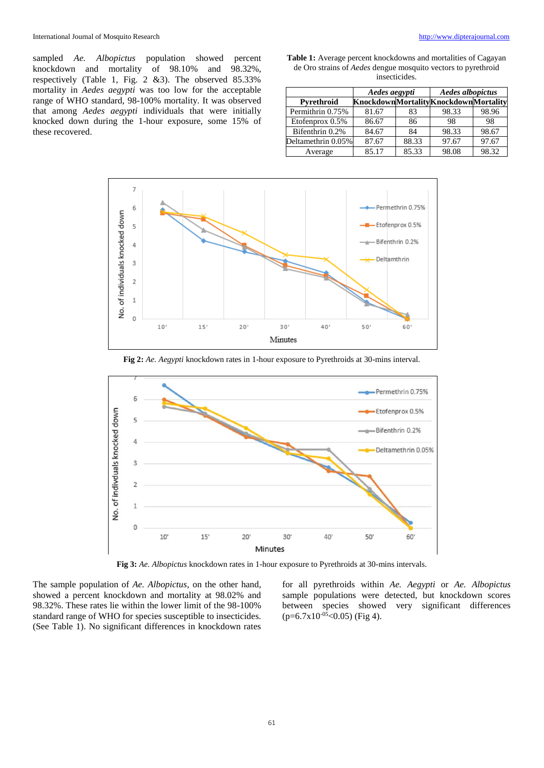sampled *Ae. Albopictus* population showed percent knockdown and mortality of 98.10% and 98.32%, respectively (Table 1, Fig. 2 &3). The observed 85.33% mortality in *Aedes aegypti* was too low for the acceptable range of WHO standard, 98-100% mortality. It was observed that among *Aedes aegypti* individuals that were initially knocked down during the 1-hour exposure, some 15% of these recovered.

| <b>Table 1:</b> Average percent knockdowns and mortalities of Cagayan |
|-----------------------------------------------------------------------|
| de Oro strains of <i>Aedes</i> dengue mosquito vectors to pyrethroid  |
| insecticides.                                                         |

|                    | Aedes aegypti                        |       | <b>Aedes albopictus</b> |       |
|--------------------|--------------------------------------|-------|-------------------------|-------|
| Pyrethroid         | KnockdownMortalityKnockdownMortality |       |                         |       |
| Permithrin 0.75%   | 81.67                                | 83    | 98.33                   | 98.96 |
| Etofenprox 0.5%    | 86.67                                | 86    | 98                      | 98    |
| Bifenthrin 0.2%    | 84.67                                | 84    | 98.33                   | 98.67 |
| Deltamethrin 0.05% | 87.67                                | 88.33 | 97.67                   | 97.67 |
| Average            | 85.17                                | 85.33 | 98.08                   | 98.32 |



**Fig 2:** *Ae. Aegypti* knockdown rates in 1-hour exposure to Pyrethroids at 30-mins interval.



**Fig 3:** *Ae. Albopictus* knockdown rates in 1-hour exposure to Pyrethroids at 30-mins intervals.

The sample population of *Ae. Albopictus,* on the other hand, showed a percent knockdown and mortality at 98.02% and 98.32%. These rates lie within the lower limit of the 98-100% standard range of WHO for species susceptible to insecticides. (See Table 1). No significant differences in knockdown rates

for all pyrethroids within *Ae. Aegypti* or *Ae. Albopictus* sample populations were detected, but knockdown scores between species showed very significant differences  $(p=6.7x10^{-0.5} < 0.05)$  (Fig 4).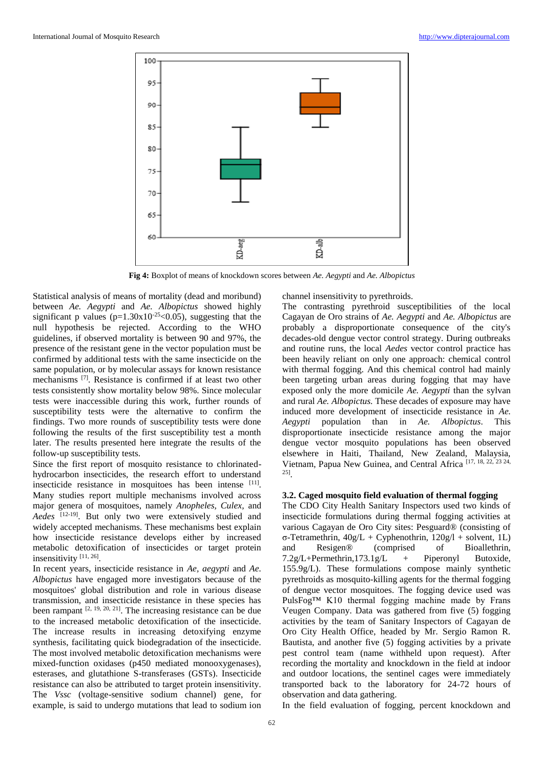

**Fig 4:** Boxplot of means of knockdown scores between *Ae. Aegypti* and *Ae. Albopictus*

Statistical analysis of means of mortality (dead and moribund) between *Ae. Aegypti* and *Ae. Albopictus* showed highly significant p values ( $p=1.30x10^{-25}$ <0.05), suggesting that the null hypothesis be rejected. According to the WHO guidelines, if observed mortality is between 90 and 97%, the presence of the resistant gene in the vector population must be confirmed by additional tests with the same insecticide on the same population, or by molecular assays for known resistance mechanisms [7]. Resistance is confirmed if at least two other tests consistently show mortality below 98%. Since molecular tests were inaccessible during this work, further rounds of susceptibility tests were the alternative to confirm the findings. Two more rounds of susceptibility tests were done following the results of the first susceptibility test a month later. The results presented here integrate the results of the follow-up susceptibility tests.

Since the first report of mosquito resistance to chlorinatedhydrocarbon insecticides, the research effort to understand insecticide resistance in mosquitoes has been intense [11]. Many studies report multiple mechanisms involved across major genera of mosquitoes, namely *Anopheles, Culex,* and *Aedes* [12-19]. But only two were extensively studied and widely accepted mechanisms. These mechanisms best explain how insecticide resistance develops either by increased metabolic detoxification of insecticides or target protein insensitivity [11, 26].

In recent years, insecticide resistance in *Ae, aegypti* and *Ae. Albopictus* have engaged more investigators because of the mosquitoes' global distribution and role in various disease transmission, and insecticide resistance in these species has been rampant  $[2, 19, 20, 21]$ . The increasing resistance can be due to the increased metabolic detoxification of the insecticide. The increase results in increasing detoxifying enzyme synthesis, facilitating quick biodegradation of the insecticide. The most involved metabolic detoxification mechanisms were mixed-function oxidases (p450 mediated monooxygenases), esterases, and glutathione S-transferases (GSTs). Insecticide resistance can also be attributed to target protein insensitivity. The *Vssc* (voltage-sensitive sodium channel) gene, for example, is said to undergo mutations that lead to sodium ion

channel insensitivity to pyrethroids.

The contrasting pyrethroid susceptibilities of the local Cagayan de Oro strains of *Ae. Aegypti* and *Ae. Albopictus* are probably a disproportionate consequence of the city's decades-old dengue vector control strategy. During outbreaks and routine runs, the local *Aedes* vector control practice has been heavily reliant on only one approach: chemical control with thermal fogging. And this chemical control had mainly been targeting urban areas during fogging that may have exposed only the more domicile *Ae. Aegypti* than the sylvan and rural *Ae. Albopictus.* These decades of exposure may have induced more development of insecticide resistance in *Ae. Aegypti* population than in *Ae. Albopictus*. This disproportionate insecticide resistance among the major dengue vector mosquito populations has been observed elsewhere in Haiti, Thailand, New Zealand, Malaysia, Vietnam, Papua New Guinea, and Central Africa [17, 18, 22, 23 24, 25] .

#### **3.2. Caged mosquito field evaluation of thermal fogging**

The CDO City Health Sanitary Inspectors used two kinds of insecticide formulations during thermal fogging activities at various Cagayan de Oro City sites: Pesguard® (consisting of σ-Tetramethrin, 40g/L + Cyphenothrin, 120g/l + solvent, 1L) and Resigen® (comprised of Bioallethrin, 7.2g/L+Permethrin,173.1g/L + Piperonyl Butoxide, 155.9g/L). These formulations compose mainly synthetic pyrethroids as mosquito-killing agents for the thermal fogging of dengue vector mosquitoes. The fogging device used was PulsFog™ K10 thermal fogging machine made by Frans Veugen Company. Data was gathered from five (5) fogging activities by the team of Sanitary Inspectors of Cagayan de Oro City Health Office, headed by Mr. Sergio Ramon R. Bautista, and another five (5) fogging activities by a private pest control team (name withheld upon request). After recording the mortality and knockdown in the field at indoor and outdoor locations, the sentinel cages were immediately transported back to the laboratory for 24-72 hours of observation and data gathering.

In the field evaluation of fogging, percent knockdown and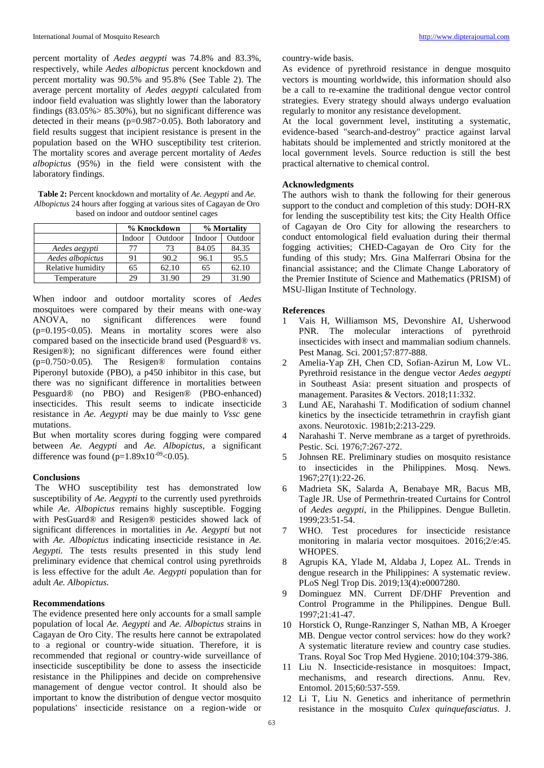percent mortality of *Aedes aegypti* was 74.8% and 83.3%, respectively, while *Aedes albopictus* percent knockdown and percent mortality was 90.5% and 95.8% (See Table 2). The average percent mortality of *Aedes aegypti* calculated from indoor field evaluation was slightly lower than the laboratory findings (83.05%> 85.30%), but no significant difference was detected in their means (p=0.987>0.05). Both laboratory and field results suggest that incipient resistance is present in the population based on the WHO susceptibility test criterion. The mortality scores and average percent mortality of *Aedes albopictus* (95%) in the field were consistent with the laboratory findings.

**Table 2:** Percent knockdown and mortality of *Ae. Aegypti* and *Ae. Albopictus* 24 hours after fogging at various sites of Cagayan de Oro based on indoor and outdoor sentinel cages

|                   |        | % Knockdown | % Mortality |         |  |
|-------------------|--------|-------------|-------------|---------|--|
|                   | Indoor | Outdoor     | Indoor      | Outdoor |  |
| Aedes aegypti     |        | 73          | 84.05       | 84.35   |  |
| Aedes albopictus  | 91     | 90.2        | 96.1        | 95.5    |  |
| Relative humidity | 65     | 62.10       | 65          | 62.10   |  |
| Temperature       | 29     | 31.90       | 29          | 31.90   |  |

When indoor and outdoor mortality scores of *Aedes*  mosquitoes were compared by their means with one-way ANOVA, no significant differences were found  $(p=0.195<0.05)$ . Means in mortality scores were also compared based on the insecticide brand used (Pesguard® vs. Resigen®); no significant differences were found either (p=0.750>0.05). The Resigen® formulation contains Piperonyl butoxide (PBO), a p450 inhibitor in this case, but there was no significant difference in mortalities between Pesguard® (no PBO) and Resigen® (PBO-enhanced) insecticides. This result seems to indicate insecticide resistance in *Ae. Aegypti* may be due mainly to *Vssc* gene mutations.

But when mortality scores during fogging were compared between *Ae. Aegypti* and *Ae. Albopictus,* a significant difference was found  $(p=1.89x10^{-09} < 0.05)$ .

# **Conclusions**

The WHO susceptibility test has demonstrated low susceptibility of *Ae. Aegypti* to the currently used pyrethroids while *Ae. Albopictus* remains highly susceptible. Fogging with PesGuard® and Resigen® pesticides showed lack of significant differences in mortalities in *Ae. Aegypti* but not with *Ae. Albopictus* indicating insecticide resistance in *Ae. Aegypti.* The tests results presented in this study lend preliminary evidence that chemical control using pyrethroids is less effective for the adult *Ae. Aegypti* population than for adult *Ae. Albopictus.*

#### **Recommendations**

The evidence presented here only accounts for a small sample population of local *Ae. Aegypti* and *Ae. Albopictus* strains in Cagayan de Oro City. The results here cannot be extrapolated to a regional or country-wide situation. Therefore, it is recommended that regional or country-wide surveillance of insecticide susceptibility be done to assess the insecticide resistance in the Philippines and decide on comprehensive management of dengue vector control. It should also be important to know the distribution of dengue vector mosquito populations' insecticide resistance on a region-wide or

## country-wide basis.

As evidence of pyrethroid resistance in dengue mosquito vectors is mounting worldwide, this information should also be a call to re-examine the traditional dengue vector control strategies. Every strategy should always undergo evaluation regularly to monitor any resistance development.

At the local government level, instituting a systematic, evidence-based "search-and-destroy" practice against larval habitats should be implemented and strictly monitored at the local government levels. Source reduction is still the best practical alternative to chemical control.

# **Acknowledgments**

The authors wish to thank the following for their generous support to the conduct and completion of this study: DOH-RX for lending the susceptibility test kits; the City Health Office of Cagayan de Oro City for allowing the researchers to conduct entomological field evaluation during their thermal fogging activities; CHED-Cagayan de Oro City for the funding of this study; Mrs. Gina Malferrari Obsina for the financial assistance; and the Climate Change Laboratory of the Premier Institute of Science and Mathematics (PRISM) of MSU-Iligan Institute of Technology.

#### **References**

- 1 Vais H, Williamson MS, Devonshire AI, Usherwood PNR. The molecular interactions of pyrethroid insecticides with insect and mammalian sodium channels. Pest Manag. Sci. 2001;57:877-888.
- 2 Amelia-Yap ZH, Chen CD, Sofian-Azirun M, Low VL. Pyrethroid resistance in the dengue vector *Aedes aegypti* in Southeast Asia: present situation and prospects of management. Parasites & Vectors. 2018;11:332.
- Lund AE, Narahashi T. Modification of sodium channel kinetics by the insecticide tetramethrin in crayfish giant axons. Neurotoxic. 1981b;2:213-229.
- 4 Narahashi T. Nerve membrane as a target of pyrethroids. Pestic. Sci. 1976;7:267-272.
- 5 Johnsen RE. Preliminary studies on mosquito resistance to insecticides in the Philippines. Mosq. News. 1967;27(1):22-26.
- 6 Madrieta SK, Salarda A, Benabaye MR, Bacus MB, Tagle JR. Use of Permethrin-treated Curtains for Control of *Aedes aegypti*, in the Philippines. Dengue Bulletin. 1999;23:51-54.
- 7 WHO. Test procedures for insecticide resistance monitoring in malaria vector mosquitoes. 2016;2/e:45. WHOPES.
- 8 Agrupis KA, Ylade M, Aldaba J, Lopez AL. Trends in dengue research in the Philippines: A systematic review. PLoS Negl Trop Dis. 2019;13(4):e0007280.
- 9 Dominguez MN. Current DF/DHF Prevention and Control Programme in the Philippines. Dengue Bull. 1997;21:41-47.
- 10 Horstick O, Runge-Ranzinger S, Nathan MB, A Kroeger MB. Dengue vector control services: how do they work? A systematic literature review and country case studies. Trans. Royal Soc Trop Med Hygiene. 2010;104:379-386.
- 11 Liu N. Insecticide-resistance in mosquitoes: Impact, mechanisms, and research directions. Annu. Rev. Entomol. 2015;60:537-559.
- 12 Li T, Liu N. Genetics and inheritance of permethrin resistance in the mosquito *Culex quinquefasciatus*. J.